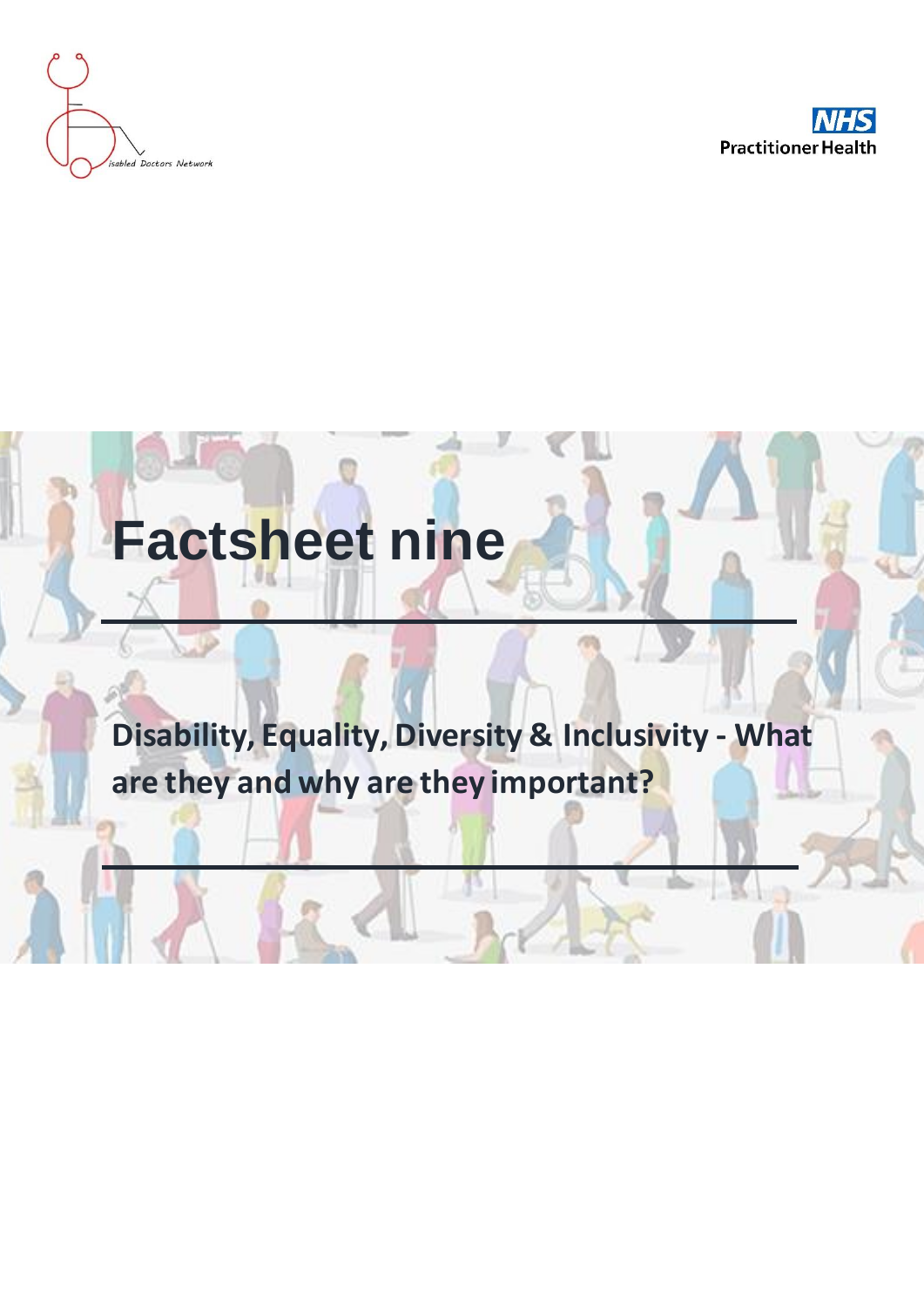



# **Factsheet nine**

## **Disability, Equality, Diversity & Inclusivity - What are they and why are they important?**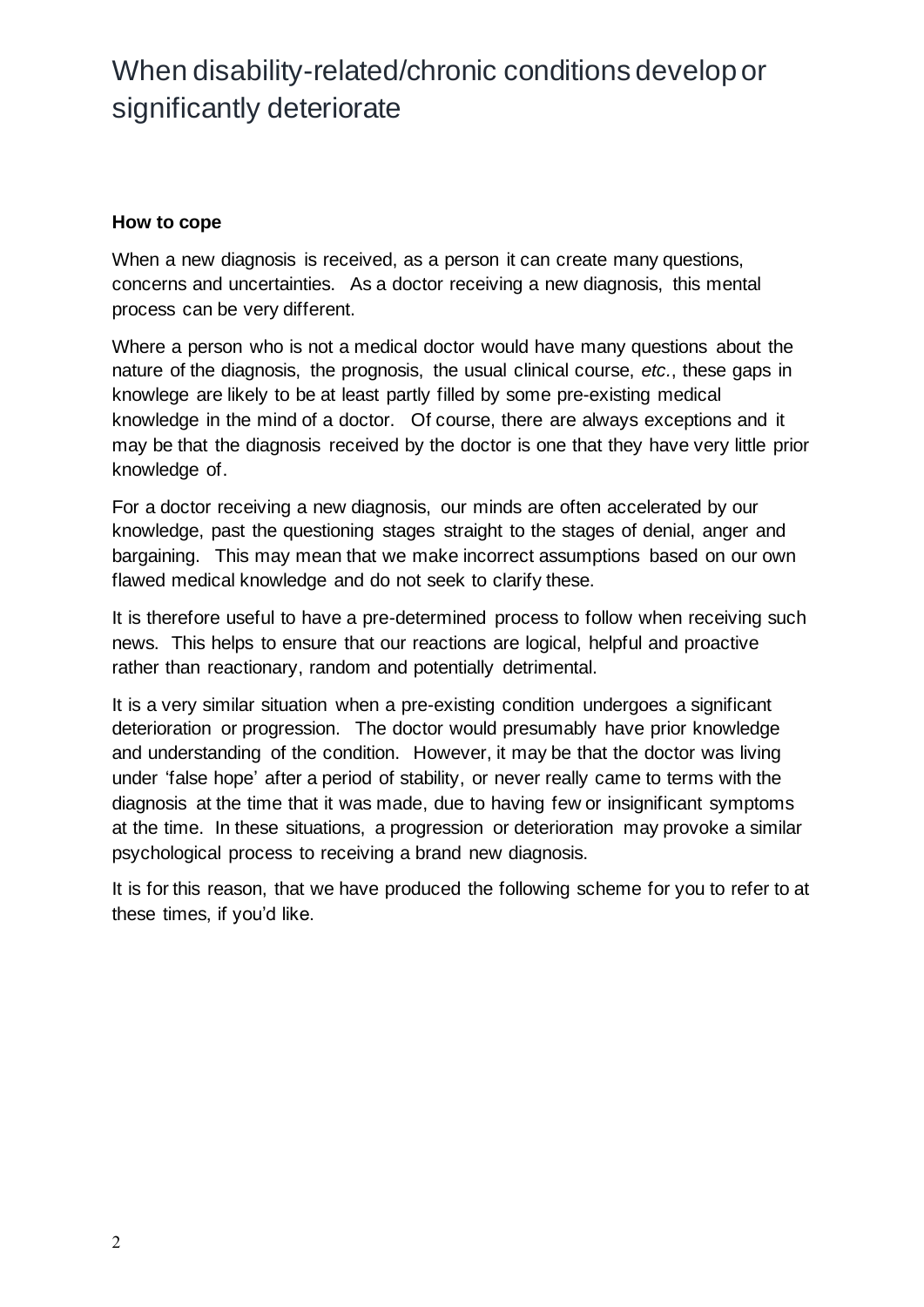#### **How to cope**

When a new diagnosis is received, as a person it can create many questions, concerns and uncertainties. As a doctor receiving a new diagnosis, this mental process can be very different.

Where a person who is not a medical doctor would have many questions about the nature of the diagnosis, the prognosis, the usual clinical course, *etc.*, these gaps in knowlege are likely to be at least partly filled by some pre-existing medical knowledge in the mind of a doctor. Of course, there are always exceptions and it may be that the diagnosis received by the doctor is one that they have very little prior knowledge of.

For a doctor receiving a new diagnosis, our minds are often accelerated by our knowledge, past the questioning stages straight to the stages of denial, anger and bargaining. This may mean that we make incorrect assumptions based on our own flawed medical knowledge and do not seek to clarify these.

It is therefore useful to have a pre-determined process to follow when receiving such news. This helps to ensure that our reactions are logical, helpful and proactive rather than reactionary, random and potentially detrimental.

It is a very similar situation when a pre-existing condition undergoes a significant deterioration or progression. The doctor would presumably have prior knowledge and understanding of the condition. However, it may be that the doctor was living under 'false hope' after a period of stability, or never really came to terms with the diagnosis at the time that it was made, due to having few or insignificant symptoms at the time. In these situations, a progression or deterioration may provoke a similar psychological process to receiving a brand new diagnosis.

It is for this reason, that we have produced the following scheme for you to refer to at these times, if you'd like.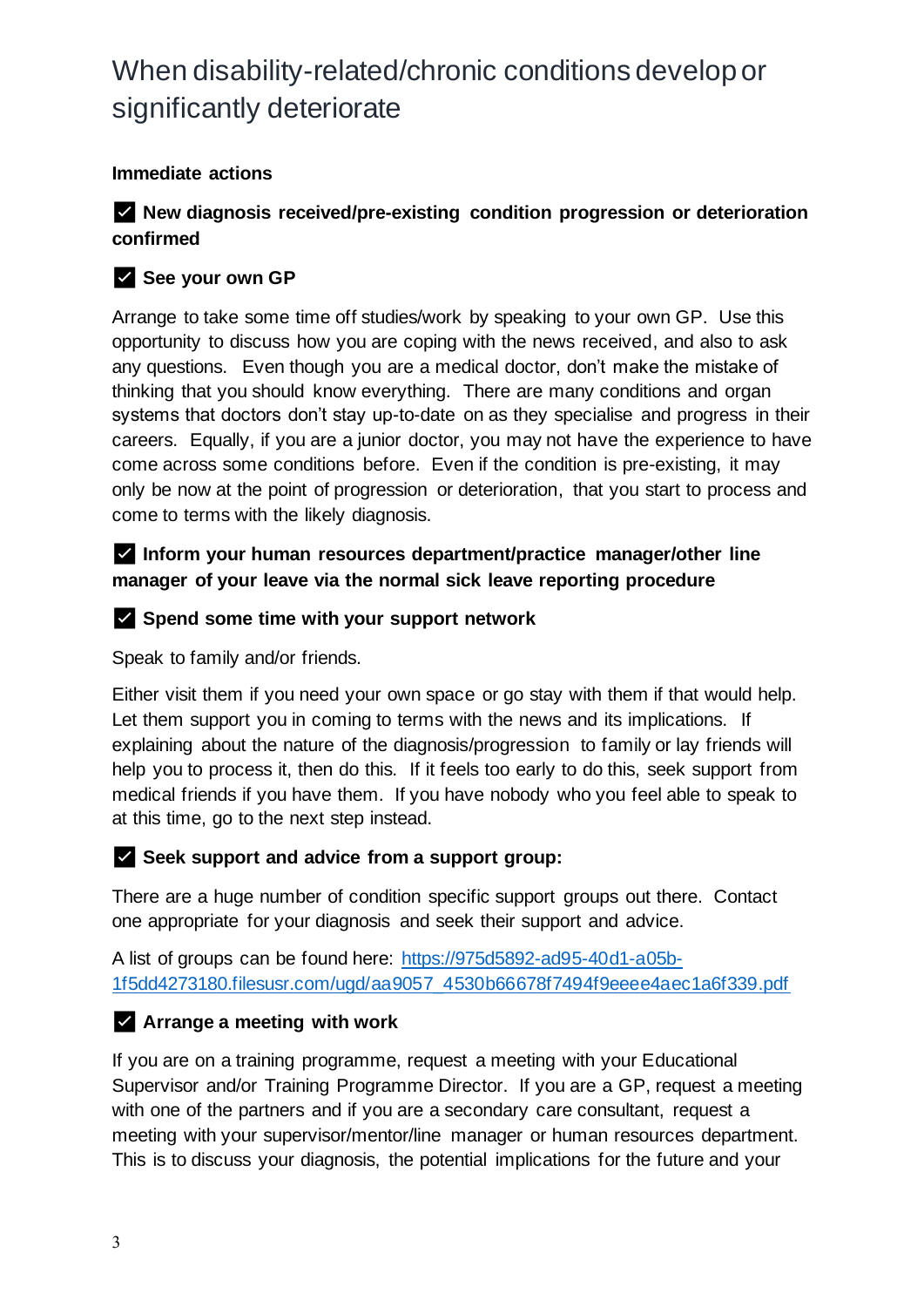#### **Immediate actions**

#### ✅ **New diagnosis received/pre-existing condition progression or deterioration confirmed**

#### ✅ **See your own GP**

Arrange to take some time off studies/work by speaking to your own GP. Use this opportunity to discuss how you are coping with the news received, and also to ask any questions. Even though you are a medical doctor, don't make the mistake of thinking that you should know everything. There are many conditions and organ systems that doctors don't stay up-to-date on as they specialise and progress in their careers. Equally, if you are a junior doctor, you may not have the experience to have come across some conditions before. Even if the condition is pre-existing, it may only be now at the point of progression or deterioration, that you start to process and come to terms with the likely diagnosis.

#### ✅ **Inform your human resources department/practice manager/other line manager of your leave via the normal sick leave reporting procedure**

#### ✅ **Spend some time with your support network**

Speak to family and/or friends.

Either visit them if you need your own space or go stay with them if that would help. Let them support you in coming to terms with the news and its implications. If explaining about the nature of the diagnosis/progression to family or lay friends will help you to process it, then do this. If it feels too early to do this, seek support from medical friends if you have them. If you have nobody who you feel able to speak to at this time, go to the next step instead.

#### ✅ **Seek support and advice from a support group:**

There are a huge number of condition specific support groups out there. Contact one appropriate for your diagnosis and seek their support and advice.

A list of groups can be found here: [https://975d5892-ad95-40d1-a05b-](https://975d5892-ad95-40d1-a05b-1f5dd4273180.filesusr.com/ugd/aa9057_4530b66678f7494f9eeee4aec1a6f339.pdf)[1f5dd4273180.filesusr.com/ugd/aa9057\\_4530b66678f7494f9eeee4aec1a6f339.pdf](https://975d5892-ad95-40d1-a05b-1f5dd4273180.filesusr.com/ugd/aa9057_4530b66678f7494f9eeee4aec1a6f339.pdf)

#### ✅ **Arrange a meeting with work**

If you are on a training programme, request a meeting with your Educational Supervisor and/or Training Programme Director. If you are a GP, request a meeting with one of the partners and if you are a secondary care consultant, request a meeting with your supervisor/mentor/line manager or human resources department. This is to discuss your diagnosis, the potential implications for the future and your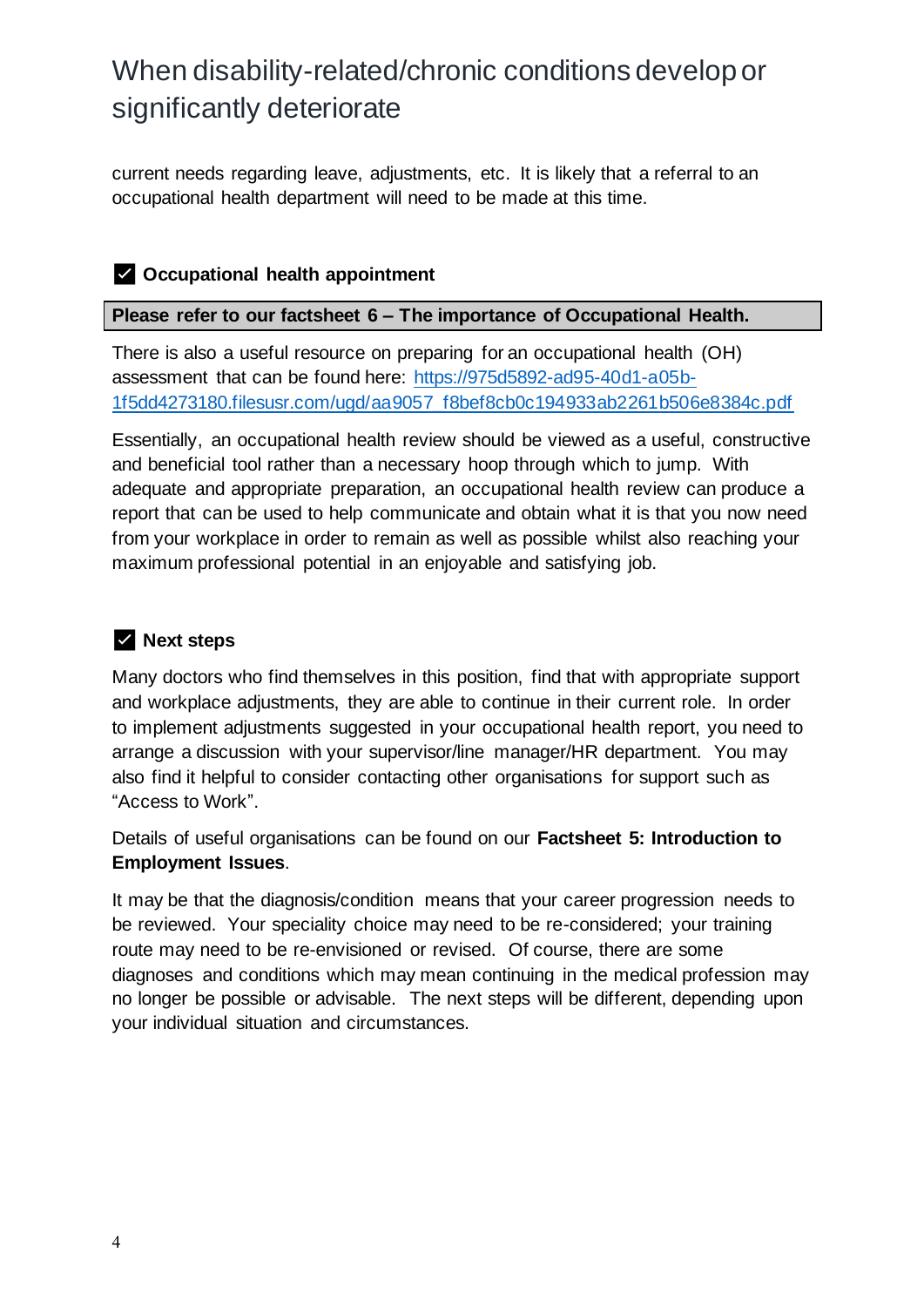current needs regarding leave, adjustments, etc. It is likely that a referral to an occupational health department will need to be made at this time.

#### ✅ **Occupational health appointment**

#### **Please refer to our factsheet 6 – The importance of Occupational Health.**

There is also a useful resource on preparing for an occupational health (OH) assessment that can be found here: [https://975d5892-ad95-40d1-a05b-](https://975d5892-ad95-40d1-a05b-1f5dd4273180.filesusr.com/ugd/aa9057_f8bef8cb0c194933ab2261b506e8384c.pdf)[1f5dd4273180.filesusr.com/ugd/aa9057\\_f8bef8cb0c194933ab2261b506e8384c.pdf](https://975d5892-ad95-40d1-a05b-1f5dd4273180.filesusr.com/ugd/aa9057_f8bef8cb0c194933ab2261b506e8384c.pdf)

Essentially, an occupational health review should be viewed as a useful, constructive and beneficial tool rather than a necessary hoop through which to jump. With adequate and appropriate preparation, an occupational health review can produce a report that can be used to help communicate and obtain what it is that you now need from your workplace in order to remain as well as possible whilst also reaching your maximum professional potential in an enjoyable and satisfying job.

#### ✅ **Next steps**

Many doctors who find themselves in this position, find that with appropriate support and workplace adjustments, they are able to continue in their current role. In order to implement adjustments suggested in your occupational health report, you need to arrange a discussion with your supervisor/line manager/HR department. You may also find it helpful to consider contacting other organisations for support such as "Access to Work".

Details of useful organisations can be found on our **Factsheet 5: Introduction to Employment Issues**.

It may be that the diagnosis/condition means that your career progression needs to be reviewed. Your speciality choice may need to be re-considered; your training route may need to be re-envisioned or revised. Of course, there are some diagnoses and conditions which may mean continuing in the medical profession may no longer be possible or advisable. The next steps will be different, depending upon your individual situation and circumstances.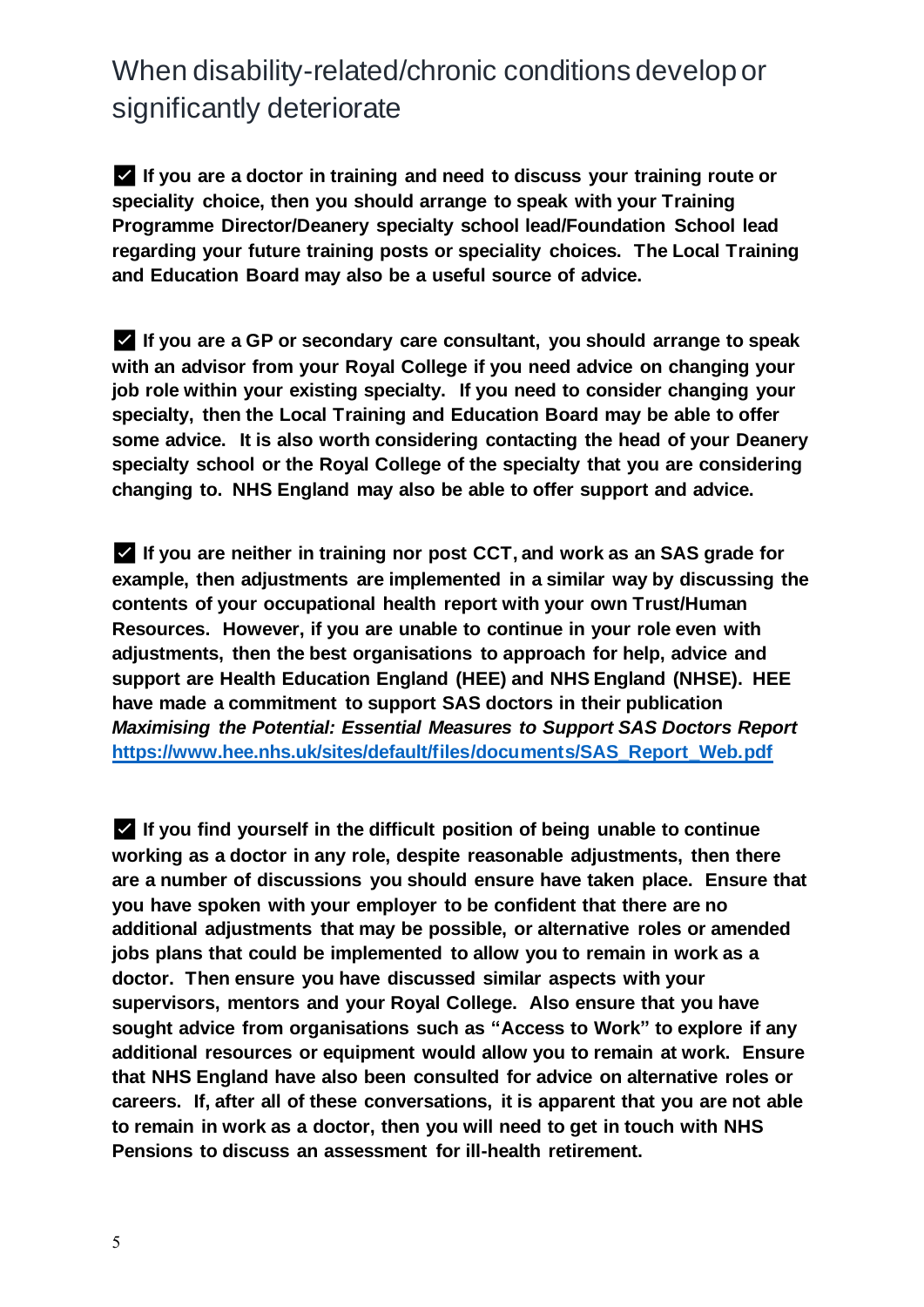✅ **If you are a doctor in training and need to discuss your training route or speciality choice, then you should arrange to speak with your Training Programme Director/Deanery specialty school lead/Foundation School lead regarding your future training posts or speciality choices. The Local Training and Education Board may also be a useful source of advice.** 

✅ **If you are a GP or secondary care consultant, you should arrange to speak with an advisor from your Royal College if you need advice on changing your job role within your existing specialty. If you need to consider changing your specialty, then the Local Training and Education Board may be able to offer some advice. It is also worth considering contacting the head of your Deanery specialty school or the Royal College of the specialty that you are considering changing to. NHS England may also be able to offer support and advice.** 

✅ **If you are neither in training nor post CCT, and work as an SAS grade for example, then adjustments are implemented in a similar way by discussing the contents of your occupational health report with your own Trust/Human Resources. However, if you are unable to continue in your role even with adjustments, then the best organisations to approach for help, advice and support are Health Education England (HEE) and NHS England (NHSE). HEE have made a commitment to support SAS doctors in their publication**  *Maximising the Potential: Essential Measures to Support SAS Doctors Report*  **[https://www.hee.nhs.uk/sites/default/files/documents/SAS\\_Report\\_Web.pdf](https://www.hee.nhs.uk/sites/default/files/documents/SAS_Report_Web.pdf)**

✅ **If you find yourself in the difficult position of being unable to continue working as a doctor in any role, despite reasonable adjustments, then there are a number of discussions you should ensure have taken place. Ensure that you have spoken with your employer to be confident that there are no additional adjustments that may be possible, or alternative roles or amended jobs plans that could be implemented to allow you to remain in work as a doctor. Then ensure you have discussed similar aspects with your supervisors, mentors and your Royal College. Also ensure that you have sought advice from organisations such as "Access to Work" to explore if any additional resources or equipment would allow you to remain at work. Ensure that NHS England have also been consulted for advice on alternative roles or careers. If, after all of these conversations, it is apparent that you are not able to remain in work as a doctor, then you will need to get in touch with NHS Pensions to discuss an assessment for ill-health retirement.**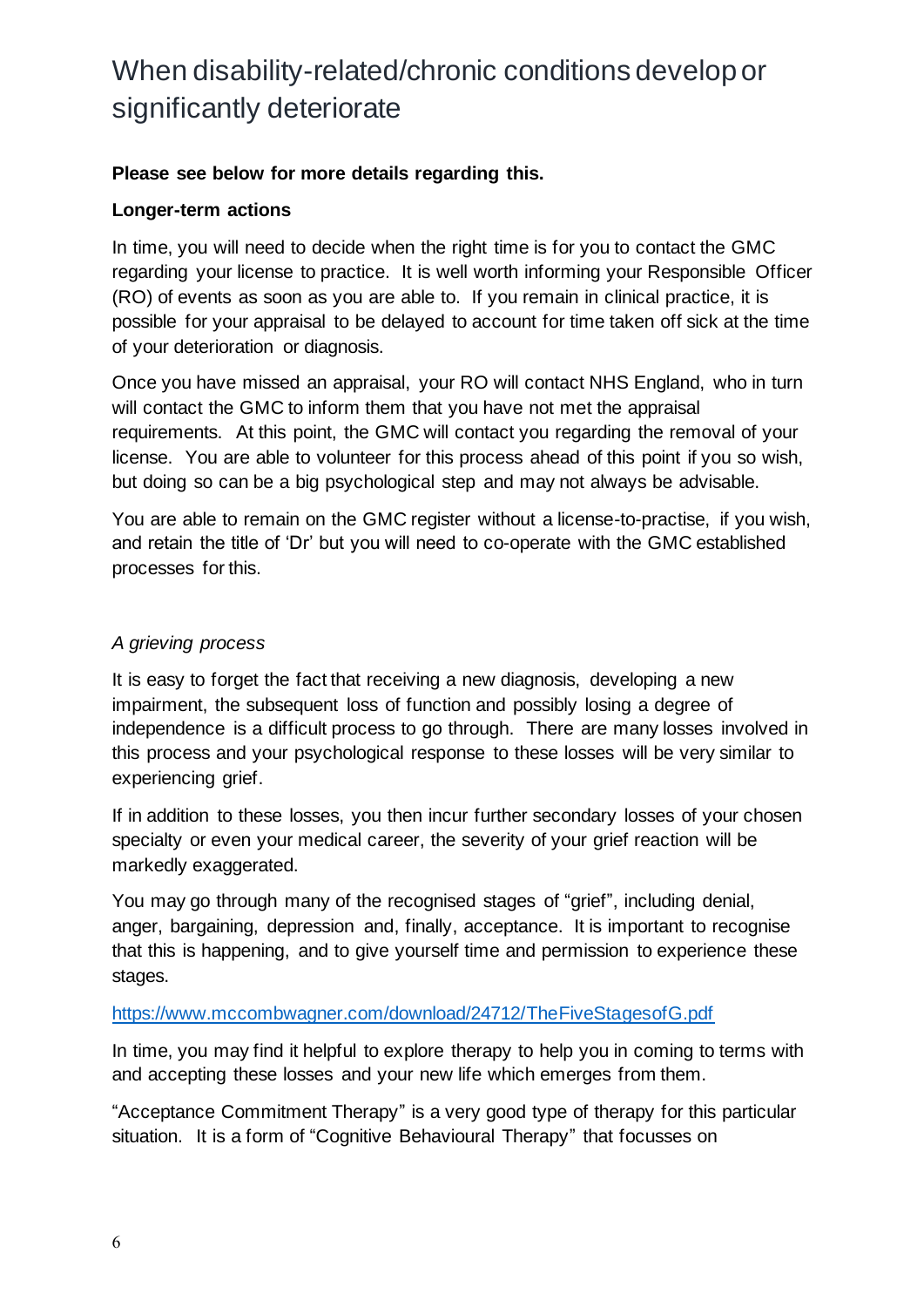#### **Please see below for more details regarding this.**

#### **Longer-term actions**

In time, you will need to decide when the right time is for you to contact the GMC regarding your license to practice. It is well worth informing your Responsible Officer (RO) of events as soon as you are able to. If you remain in clinical practice, it is possible for your appraisal to be delayed to account for time taken off sick at the time of your deterioration or diagnosis.

Once you have missed an appraisal, your RO will contact NHS England, who in turn will contact the GMC to inform them that you have not met the appraisal requirements. At this point, the GMC will contact you regarding the removal of your license. You are able to volunteer for this process ahead of this point if you so wish, but doing so can be a big psychological step and may not always be advisable.

You are able to remain on the GMC register without a license-to-practise, if you wish, and retain the title of 'Dr' but you will need to co-operate with the GMC established processes for this.

#### *A grieving process*

It is easy to forget the fact that receiving a new diagnosis, developing a new impairment, the subsequent loss of function and possibly losing a degree of independence is a difficult process to go through. There are many losses involved in this process and your psychological response to these losses will be very similar to experiencing grief.

If in addition to these losses, you then incur further secondary losses of your chosen specialty or even your medical career, the severity of your grief reaction will be markedly exaggerated.

You may go through many of the recognised stages of "grief", including denial, anger, bargaining, depression and, finally, acceptance. It is important to recognise that this is happening, and to give yourself time and permission to experience these stages.

#### <https://www.mccombwagner.com/download/24712/TheFiveStagesofG.pdf>

In time, you may find it helpful to explore therapy to help you in coming to terms with and accepting these losses and your new life which emerges from them.

"Acceptance Commitment Therapy" is a very good type of therapy for this particular situation. It is a form of "Cognitive Behavioural Therapy" that focusses on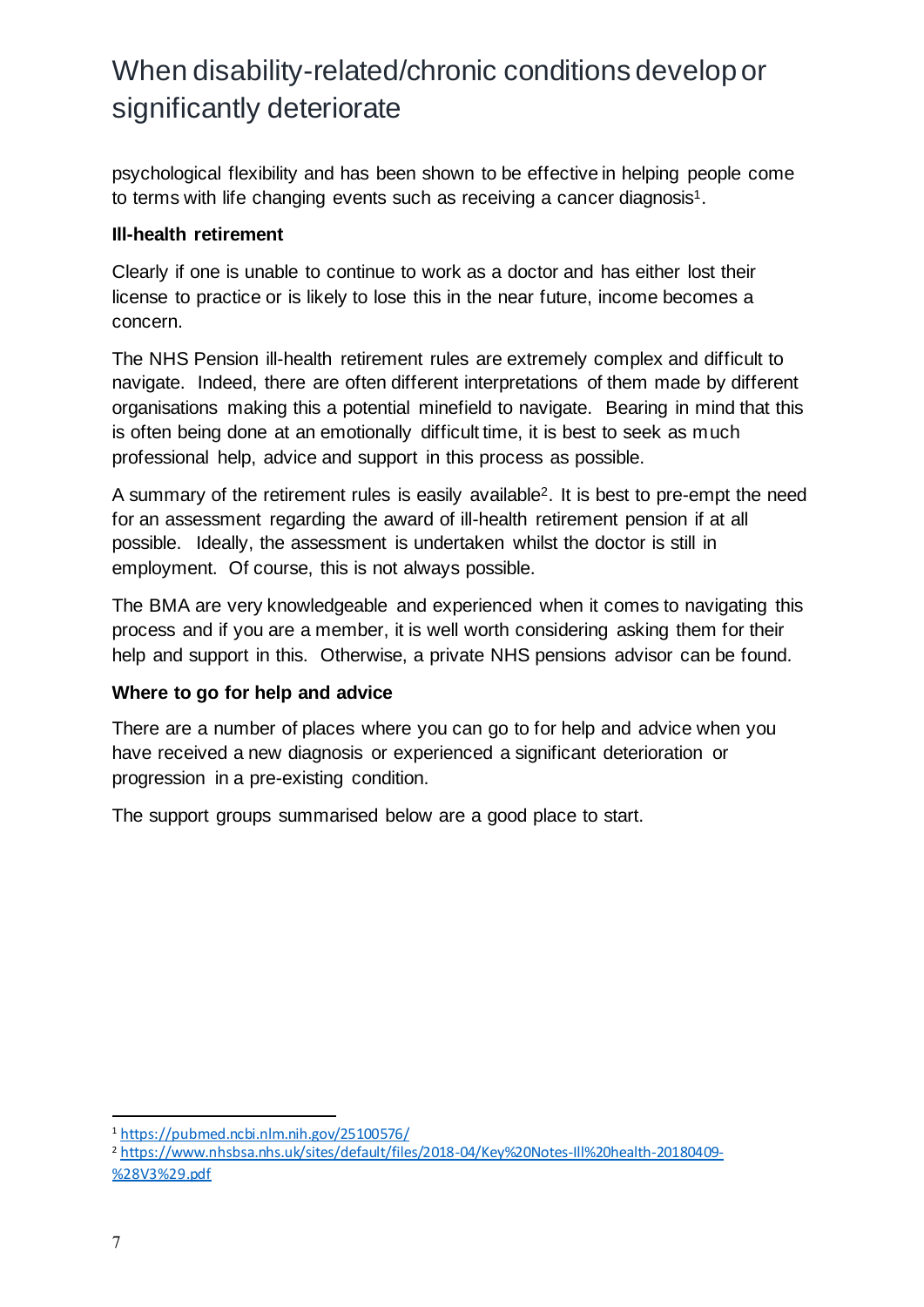psychological flexibility and has been shown to be effective in helping people come to terms with life changing events such as receiving a cancer diagnosis<sup>1</sup>.

#### **Ill-health retirement**

Clearly if one is unable to continue to work as a doctor and has either lost their license to practice or is likely to lose this in the near future, income becomes a concern.

The NHS Pension ill-health retirement rules are extremely complex and difficult to navigate. Indeed, there are often different interpretations of them made by different organisations making this a potential minefield to navigate. Bearing in mind that this is often being done at an emotionally difficult time, it is best to seek as much professional help, advice and support in this process as possible.

A summary of the retirement rules is easily available2. It is best to pre-empt the need for an assessment regarding the award of ill-health retirement pension if at all possible. Ideally, the assessment is undertaken whilst the doctor is still in employment. Of course, this is not always possible.

The BMA are very knowledgeable and experienced when it comes to navigating this process and if you are a member, it is well worth considering asking them for their help and support in this. Otherwise, a private NHS pensions advisor can be found.

#### **Where to go for help and advice**

There are a number of places where you can go to for help and advice when you have received a new diagnosis or experienced a significant deterioration or progression in a pre-existing condition.

The support groups summarised below are a good place to start.

<sup>1</sup> <https://pubmed.ncbi.nlm.nih.gov/25100576/>

<sup>2</sup> [https://www.nhsbsa.nhs.uk/sites/default/files/2018-04/Key%20Notes-Ill%20health-20180409-](https://www.nhsbsa.nhs.uk/sites/default/files/2018-04/Key%20Notes-Ill%20health-20180409-%28V3%29.pdf) [%28V3%29.pdf](https://www.nhsbsa.nhs.uk/sites/default/files/2018-04/Key%20Notes-Ill%20health-20180409-%28V3%29.pdf)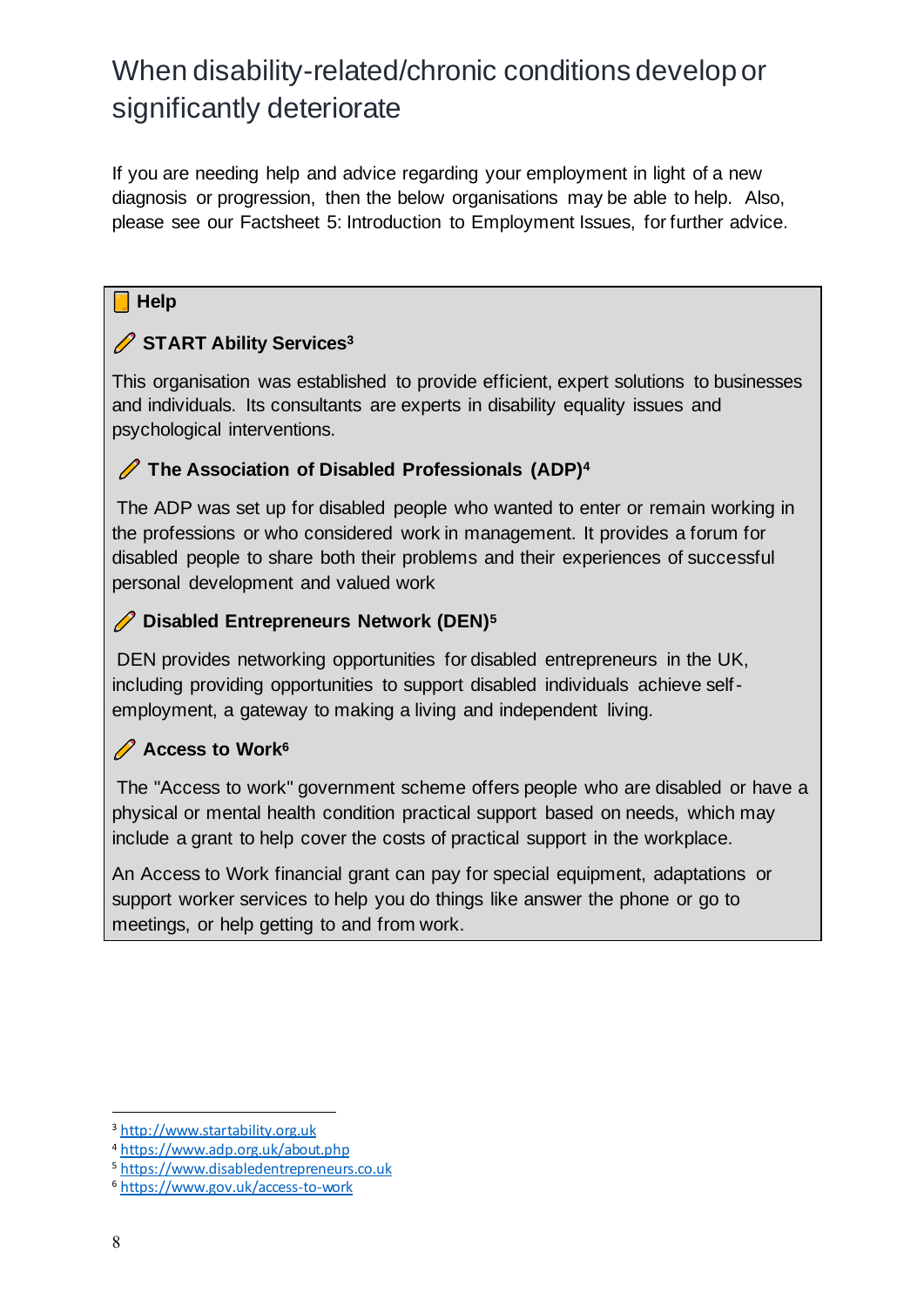If you are needing help and advice regarding your employment in light of a new diagnosis or progression, then the below organisations may be able to help. Also, please see our Factsheet 5: Introduction to Employment Issues, for further advice.

#### **Help**

#### **START Ability Services<sup>3</sup>**

This organisation was established to provide efficient, expert solutions to businesses and individuals. Its consultants are experts in disability equality issues and psychological interventions.

#### **The Association of Disabled Professionals (ADP)<sup>4</sup>**

The ADP was set up for disabled people who wanted to enter or remain working in the professions or who considered work in management. It provides a forum for disabled people to share both their problems and their experiences of successful personal development and valued work

#### **Disabled Entrepreneurs Network (DEN)<sup>5</sup>**

DEN provides networking opportunities for disabled entrepreneurs in the UK, including providing opportunities to support disabled individuals achieve selfemployment, a gateway to making a living and independent living.

#### **Access to Work<sup>6</sup>**

The "Access to work" government scheme offers people who are disabled or have a physical or mental health condition practical support based on needs, which may include a grant to help cover the costs of practical support in the workplace.

An Access to Work financial grant can pay for special equipment, adaptations or support worker services to help you do things like answer the phone or go to meetings, or help getting to and from work.

<sup>3</sup> [http://www.startability.org.uk](http://www.startability.org.uk/)

<sup>4</sup> <https://www.adp.org.uk/about.php>

<sup>5</sup> [https://www.disabledentrepreneurs.co.uk](https://www.disabledentrepreneurs.co.uk/)

<sup>6</sup> <https://www.gov.uk/access-to-work>